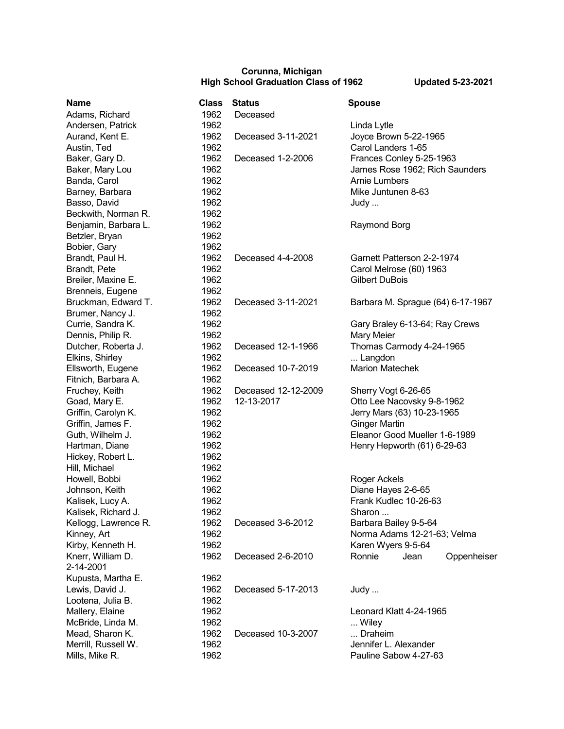## **Corunna, Michigan High School Graduation Class of 1962 Updated 5-23-2021**

| <b>Name</b>          | <b>Class</b> | <b>Status</b>       | <b>Spouse</b>                     |
|----------------------|--------------|---------------------|-----------------------------------|
| Adams, Richard       | 1962         | Deceased            |                                   |
| Andersen, Patrick    | 1962         |                     | Linda Lytle                       |
| Aurand, Kent E.      | 1962         | Deceased 3-11-2021  | Joyce Brown 5-22-1965             |
| Austin, Ted          | 1962         |                     | Carol Landers 1-65                |
| Baker, Gary D.       | 1962         | Deceased 1-2-2006   | Frances Conley 5-25-1963          |
| Baker, Mary Lou      | 1962         |                     | James Rose 1962; Rich Saunders    |
| Banda, Carol         | 1962         |                     | <b>Arnie Lumbers</b>              |
| Barney, Barbara      | 1962         |                     | Mike Juntunen 8-63                |
| Basso, David         | 1962         |                     | Judy                              |
| Beckwith, Norman R.  | 1962         |                     |                                   |
| Benjamin, Barbara L. | 1962         |                     | Raymond Borg                      |
| Betzler, Bryan       | 1962         |                     |                                   |
| Bobier, Gary         | 1962         |                     |                                   |
| Brandt, Paul H.      | 1962         | Deceased 4-4-2008   | Garnett Patterson 2-2-1974        |
| Brandt, Pete         | 1962         |                     | Carol Melrose (60) 1963           |
| Breiler, Maxine E.   | 1962         |                     | <b>Gilbert DuBois</b>             |
| Brenneis, Eugene     | 1962         |                     |                                   |
| Bruckman, Edward T.  | 1962         | Deceased 3-11-2021  | Barbara M. Sprague (64) 6-17-1967 |
| Brumer, Nancy J.     | 1962         |                     |                                   |
| Currie, Sandra K.    | 1962         |                     | Gary Braley 6-13-64; Ray Crews    |
| Dennis, Philip R.    | 1962         |                     | Mary Meier                        |
| Dutcher, Roberta J.  | 1962         | Deceased 12-1-1966  | Thomas Carmody 4-24-1965          |
| Elkins, Shirley      | 1962         |                     | Langdon                           |
| Ellsworth, Eugene    | 1962         | Deceased 10-7-2019  | <b>Marion Matechek</b>            |
| Fitnich, Barbara A.  | 1962         |                     |                                   |
| Fruchey, Keith       | 1962         | Deceased 12-12-2009 | Sherry Vogt 6-26-65               |
| Goad, Mary E.        | 1962         | 12-13-2017          | Otto Lee Nacovsky 9-8-1962        |
| Griffin, Carolyn K.  | 1962         |                     | Jerry Mars (63) 10-23-1965        |
| Griffin, James F.    | 1962         |                     | <b>Ginger Martin</b>              |
| Guth, Wilhelm J.     | 1962         |                     | Eleanor Good Mueller 1-6-1989     |
| Hartman, Diane       | 1962         |                     | Henry Hepworth (61) 6-29-63       |
| Hickey, Robert L.    | 1962         |                     |                                   |
| Hill, Michael        | 1962         |                     |                                   |
| Howell, Bobbi        | 1962         |                     | Roger Ackels                      |
| Johnson, Keith       | 1962         |                     | Diane Hayes 2-6-65                |
| Kalisek, Lucy A.     | 1962         |                     | Frank Kudlec 10-26-63             |
| Kalisek, Richard J.  | 1962         |                     | Sharon                            |
| Kellogg, Lawrence R. | 1962         | Deceased 3-6-2012   | Barbara Bailey 9-5-64             |
| Kinney, Art          | 1962         |                     | Norma Adams 12-21-63; Velma       |
| Kirby, Kenneth H.    | 1962         |                     | Karen Wyers 9-5-64                |
| Knerr, William D.    | 1962         | Deceased 2-6-2010   | Jean<br>Oppenheiser<br>Ronnie     |
| 2-14-2001            |              |                     |                                   |
| Kupusta, Martha E.   | 1962         |                     |                                   |
| Lewis, David J.      | 1962         | Deceased 5-17-2013  | Judy                              |
| Lootena, Julia B.    | 1962         |                     |                                   |
| Mallery, Elaine      | 1962         |                     | Leonard Klatt 4-24-1965           |
| McBride, Linda M.    | 1962         |                     | Wiley                             |
| Mead, Sharon K.      | 1962         | Deceased 10-3-2007  | Draheim                           |
| Merrill, Russell W.  | 1962         |                     | Jennifer L. Alexander             |
|                      |              |                     | Pauline Sabow 4-27-63             |
| Mills, Mike R.       | 1962         |                     |                                   |